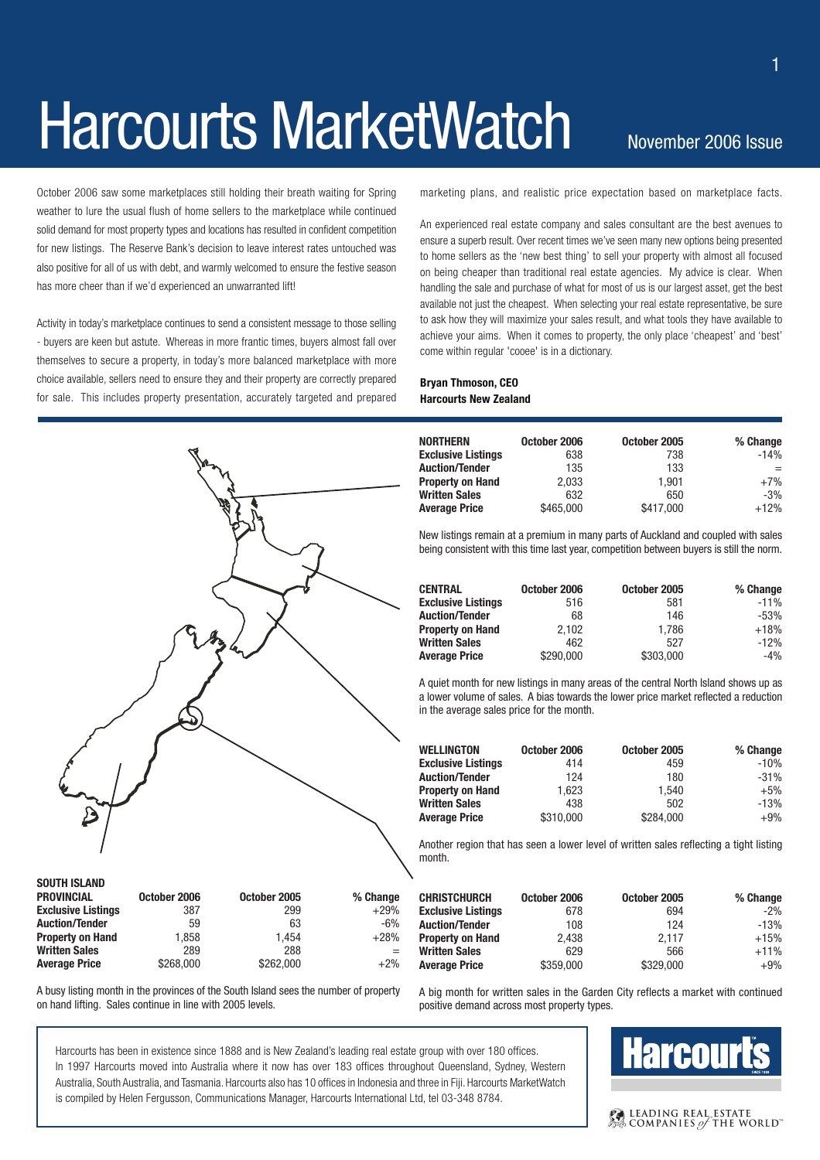# Harcourts MarketWatch November 2006 Issue

October 2006 saw some marketplaces still holding their breath waiting for Spring weather to lure the usual flush of home sellers to the marketplace while continued solid demand for most property types and locations has resulted in confident competition for new listings. The Reserve Bank's decision to leave interest rates untouched was also positive for all of us with debt, and warmly welcomed to ensure the festive season has more cheer than if we'd experienced an unwarranted lift!

Activity in today's marketplace continues to send a consistent message to those selling - buyers are keen but astute. Whereas in more frantic times, buyers almost fall over themselves to secure a property, in today's more balanced marketplace with more choice available, sellers need to ensure they and their property are correctly prepared for sale. This includes property presentation, accurately targeted and prepared



marketing plans, and realistic price expectation based on marketplace facts.

An experienced real estate company and sales consultant are the best avenues to ensure a superb result. Over recent times we've seen many new options being presented to home sellers as the 'new best thing' to sell your property with almost all focused on being cheaper than traditional real estate agencies. My advice is clear. When handling the sale and purchase of what for most of us is our largest asset, get the best available not just the cheapest. When selecting your real estate representative, be sure to ask how they will maximize your sales result, and what tools they have available to achieve your aims. When it comes to property, the only place 'cheapest' and 'best' come within regular 'cooee' is in a dictionary.

#### **Bryan Thmoson, CEO Harcourts New Zealand**

| <b>NORTHERN</b>           | October 2006 | October 2005 | % Change |
|---------------------------|--------------|--------------|----------|
| <b>Exclusive Listings</b> | 638          | 738          | $-14%$   |
| <b>Auction/Tender</b>     | 135          | 133          | $=$      |
| <b>Property on Hand</b>   | 2.033        | 1.901        | $+7%$    |
| <b>Written Sales</b>      | 632          | 650          | $-3%$    |
| <b>Average Price</b>      | \$465,000    | \$417,000    | $+12%$   |

New listings remain at a premium in many parts of Auckland and coupled with sales being consistent with this time last year, competition between buyers is still the norm.

| <b>CENTRAL</b>            | October 2006 | October 2005 | % Change |
|---------------------------|--------------|--------------|----------|
| <b>Exclusive Listings</b> | 516          | 581          | $-11%$   |
| <b>Auction/Tender</b>     | 68           | 146          | $-53%$   |
| <b>Property on Hand</b>   | 2.102        | 1.786        | $+18%$   |
| <b>Written Sales</b>      | 462          | 527          | $-12%$   |
| <b>Average Price</b>      | \$290,000    | \$303,000    | $-4%$    |

A quiet month for new listings in many areas of the central North Island shows up as a lower volume of sales. A bias towards the lower price market reflected a reduction in the average sales price for the month.

| WELLINGTON                | October 2006 | October 2005 | % Change |
|---------------------------|--------------|--------------|----------|
| <b>Exclusive Listings</b> | 414          | 459          | $-10%$   |
| <b>Auction/Tender</b>     | 124          | 180          | $-31%$   |
| <b>Property on Hand</b>   | 1.623        | 1.540        | $+5%$    |
| Written Sales             | 438          | 502          | $-13%$   |
| Average Price             | \$310,000    | \$284.000    | $+9%$    |
|                           |              |              |          |

Another region that has seen a lower level of written sales reflecting a tight listing month.

| ige | <b>CHRISTCHURCH</b>       | October 2006 | October 2005 | % Change |
|-----|---------------------------|--------------|--------------|----------|
| 9%  | <b>Exclusive Listings</b> | 678          | 694          | $-2%$    |
| 3%  | <b>Auction/Tender</b>     | 108          | 124          | $-13%$   |
| 3%  | <b>Property on Hand</b>   | 2.438        | 2.117        | $+15%$   |
| $=$ | <b>Written Sales</b>      | 629          | 566          | $+11%$   |
| 2%  | <b>Average Price</b>      | \$359,000    | \$329,000    | $+9%$    |

A busy listing month in the provinces of the South Island sees the number of property on hand lifting. Sales continue in line with 2005 levels.

A big month for written sales in the Garden City reflects a market with continued positive demand across most property types.

Harcourts has been in existence since 1888 and is New Zealand's leading real estate group with over 180 offices. In 1997 Harcourts moved into Australia where it now has over 183 offices throughout Queensland, Sydney, Western Australia, South Australia, and Tasmania. Harcourts also has 10 offices in Indonesia and three in Fiji. Harcourts MarketWatch is compiled by Helen Fergusson, Communications Manager, Harcourts International Ltd, tel 03-348 8784.

### **Harcourt's**

#### **CALEADING REAL ESTATE**<br>A COMPANIES of the WORLD

1